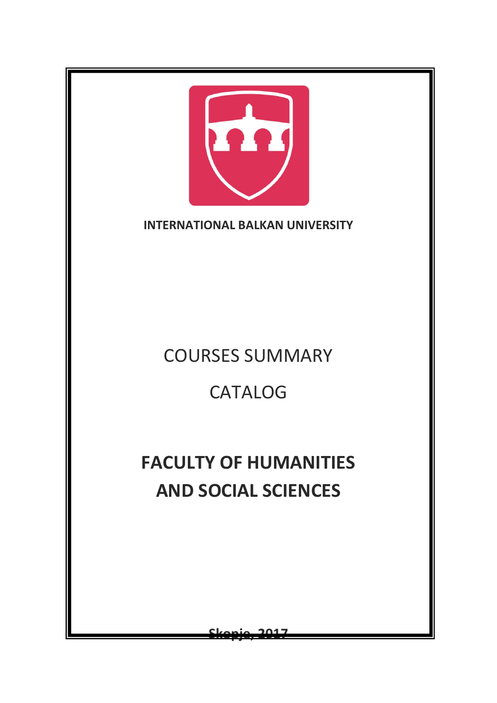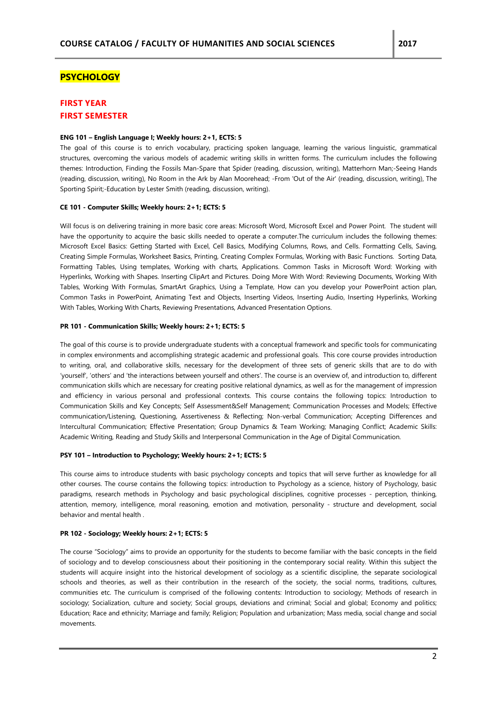## **PSYCHOLOGY**

## **FIRST YEAR FIRST SEMESTER**

#### **ENG 101 – English Language I; Weekly hours: 2+1, ECTS: 5**

The goal of this course is to enrich vocabulary, practicing spoken language, learning the various linguistic, grammatical structures, overcoming the various models of academic writing skills in written forms. The curriculum includes the following themes: Introduction, Finding the Fossils Man-Spare that Spider (reading, discussion, writing), Matterhorn Man;-Seeing Hands (reading, discussion, writing), No Room in the Ark by Alan Moorehead; -From 'Out of the Air' (reading, discussion, writing), The Sporting Spirit;-Education by Lester Smith (reading, discussion, writing).

## **CE 101 - Computer Skills; Weekly hours: 2+1; ECTS: 5**

Will focus is on delivering training in more basic core areas: Microsoft Word, Microsoft Excel and Power Point. The student will have the opportunity to acquire the basic skills needed to operate a computer.The curriculum includes the following themes: Microsoft Excel Basics: Getting Started with Excel, Cell Basics, Modifying Columns, Rows, and Cells. Formatting Cells, Saving, Creating Simple Formulas, Worksheet Basics, Printing, Creating Complex Formulas, Working with Basic Functions. Sorting Data, Formatting Tables, Using templates, Working with charts, Applications. Common Tasks in Microsoft Word: Working with Hyperlinks, Working with Shapes. Inserting ClipArt and Pictures. Doing More With Word: Reviewing Documents, Working With Tables, Working With Formulas, SmartArt Graphics, Using a Template, How can you develop your PowerPoint action plan, Common Tasks in PowerPoint, Animating Text and Objects, Inserting Videos, Inserting Audio, Inserting Hyperlinks, Working With Tables, Working With Charts, Reviewing Presentations, Advanced Presentation Options.

## **PR 101 - Communication Skills; Weekly hours: 2+1; ECTS: 5**

The goal of this course is to provide undergraduate students with a conceptual framework and specific tools for communicating in complex environments and accomplishing strategic academic and professional goals. This core course provides introduction to writing, oral, and collaborative skills, necessary for the development of three sets of generic skills that are to do with 'yourself', 'others' and 'the interactions between yourself and others'. The course is an overview of, and introduction to, different communication skills which are necessary for creating positive relational dynamics, as well as for the management of impression and efficiency in various personal and professional contexts. This course contains the following topics: Introduction to Communication Skills and Key Concepts; Self Assessment&Self Management; Communication Processes and Models; Effective communication/Listening, Questioning, Assertiveness & Reflecting; Non-verbal Communication; Accepting Differences and Intercultural Communication; Effective Presentation; Group Dynamics & Team Working; Managing Conflict; Academic Skills: Academic Writing, Reading and Study Skills and Interpersonal Communication in the Age of Digital Communication.

## **PSY 101 – Introduction to Psychology; Weekly hours: 2+1; ECTS: 5**

This course aims to introduce students with basic psychology concepts and topics that will serve further as knowledge for all other courses. The course contains the following topics: introduction to Psychology as a science, history of Psychology, basic paradigms, research methods in Psychology and basic psychological disciplines, cognitive processes - perception, thinking, attention, memory, intelligence, moral reasoning, emotion and motivation, personality - structure and development, social behavior and mental health .

## **PR 102 - Sociology; Weekly hours: 2+1; ECTS: 5**

The course "Sociology" aims to provide an opportunity for the students to become familiar with the basic concepts in the field of sociology and to develop consciousness about their positioning in the contemporary social reality. Within this subject the students will acquire insight into the historical development of sociology as a scientific discipline, the separate sociological schools and theories, as well as their contribution in the research of the society, the social norms, traditions, cultures, communities etc. The curriculum is comprised of the following contents: Introduction to sociology; Methods of research in sociology; Socialization, culture and society; Social groups, deviations and criminal; Social and global; Economy and politics; Education; Race and ethnicity; Marriage and family; Religion; Population and urbanization; Mass media, social change and social movements.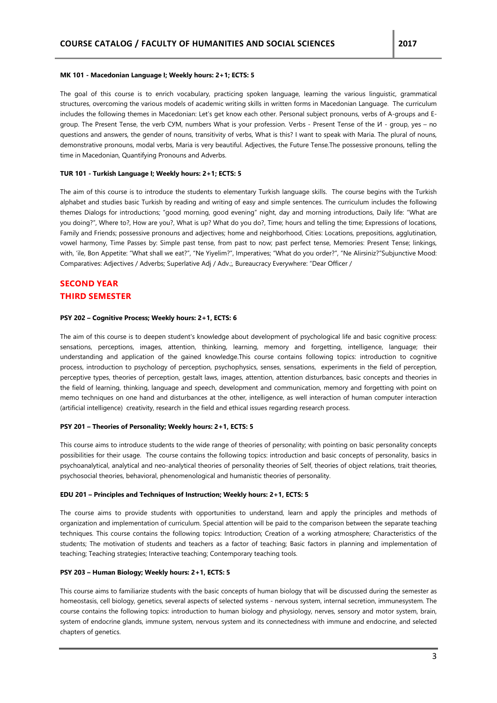#### **MK 101 - Macedonian Language I; Weekly hours: 2+1; ECTS: 5**

The goal of this course is to enrich vocabulary, practicing spoken language, learning the various linguistic, grammatical structures, overcoming the various models of academic writing skills in written forms in Macedonian Language. The curriculum includes the following themes in Macedonian: Let's get know each other. Personal subject pronouns, verbs of A-groups and Egroup. The Present Tense, the verb СУМ, numbers What is your profession. Verbs - Present Tense of the И - group, yes – no questions and answers, the gender of nouns, transitivity of verbs, What is this? I want to speak with Maria. The plural of nouns, demonstrative pronouns, modal verbs, Maria is very beautiful. Adjectives, the Future Tense.The possessive pronouns, telling the time in Macedonian, Quantifying Pronouns and Adverbs.

## **TUR 101 - Turkish Language I; Weekly hours: 2+1; ECTS: 5**

The aim of this course is to introduce the students to elementary Turkish language skills. The course begins with the Turkish alphabet and studies basic Turkish by reading and writing of easy and simple sentences. The curriculum includes the following themes Dialogs for introductions; "good morning, good evening" night, day and morning introductions, Daily life: "What are you doing?", Where to?, How are you?, What is up? What do you do?, Time; hours and telling the time; Expressions of locations, Family and Friends; possessive pronouns and adjectives; home and neighborhood, Cities: Locations, prepositions, agglutination, vowel harmony, Time Passes by: Simple past tense, from past to now; past perfect tense, Memories: Present Tense; linkings, with, 'ile, Bon Appetite: "What shall we eat?", "Ne Yiyelim?", Imperatives; "What do you order?", "Ne Alirsiniz?"Subjunctive Mood: Comparatives: Adjectives / Adverbs; Superlative Adj / Adv.;, Bureaucracy Everywhere: "Dear Officer /

## **SECOND YEAR THIRD SEMESTER**

#### **PSY 202 – Cognitive Process; Weekly hours: 2+1, ECTS: 6**

The aim of this course is to deepen student's knowledge about development of psychological life and basic cognitive process: sensations, perceptions, images, attention, thinking, learning, memory and forgetting, intelligence, language; their understanding and application of the gained knowledge.This course contains following topics: introduction to cognitive process, introduction to psychology of perception, psychophysics, senses, sensations, experiments in the field of perception, perceptive types, theories of perception, gestalt laws, images, attention, attention disturbances, basic concepts and theories in the field of learning, thinking, language and speech, development and communication, memory and forgetting with point on memo techniques on one hand and disturbances at the other, intelligence, as well interaction of human computer interaction (artificial intelligence) creativity, research in the field and ethical issues regarding research process.

#### **PSY 201 – Theories of Personality; Weekly hours: 2+1, ECTS: 5**

This course aims to introduce students to the wide range of theories of personality; with pointing on basic personality concepts possibilities for their usage. The course contains the following topics: introduction and basic concepts of personality, basics in psychoanalytical, analytical and neo-analytical theories of personality theories of Self, theories of object relations, trait theories, psychosocial theories, behavioral, phenomenological and humanistic theories of personality.

#### **EDU 201 – Principles and Techniques of Instruction; Weekly hours: 2+1, ECTS: 5**

The course aims to provide students with opportunities to understand, learn and apply the principles and methods of organization and implementation of curriculum. Special attention will be paid to the comparison between the separate teaching techniques. This course contains the following topics: Introduction; Creation of a working atmosphere; Characteristics of the students; The motivation of students and teachers as a factor of teaching; Basic factors in planning and implementation of teaching; Teaching strategies; Interactive teaching; Contemporary teaching tools.

## **PSY 203 – Human Biology; Weekly hours: 2+1, ECTS: 5**

This course aims to familiarize students with the basic concepts of human biology that will be discussed during the semester as homeostasis, cell biology, genetics, several aspects of selected systems - nervous system, internal secretion, immunesystem. The course contains the following topics: introduction to human biology and physiology, nerves, sensory and motor system, brain, system of endocrine glands, immune system, nervous system and its connectedness with immune and endocrine, and selected chapters of genetics.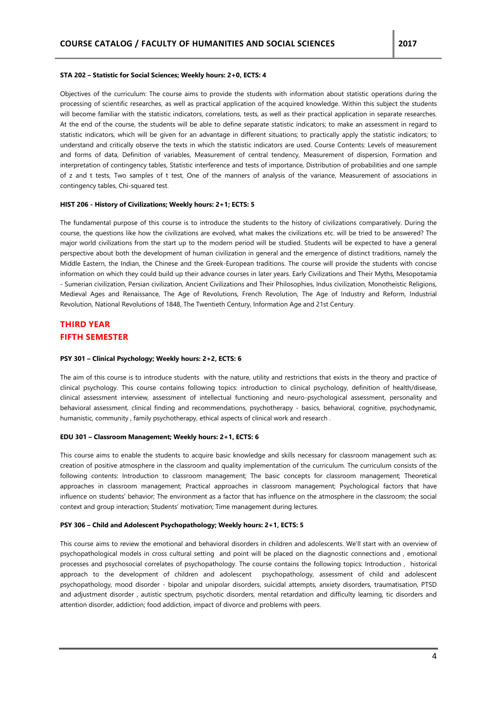#### **STA 202 – Statistic for Social Sciences; Weekly hours: 2+0, ECTS: 4**

Objectives of the curriculum: The course aims to provide the students with information about statistic operations during the processing of scientific researches, as well as practical application of the acquired knowledge. Within this subject the students will become familiar with the statistic indicators, correlations, tests, as well as their practical application in separate researches. At the end of the course, the students will be able to define separate statistic indicators; to make an assessment in regard to statistic indicators, which will be given for an advantage in different situations; to practically apply the statistic indicators; to understand and critically observe the texts in which the statistic indicators are used. Course Contents: Levels of measurement and forms of data, Definition of variables, Measurement of central tendency, Measurement of dispersion, Formation and interpretation of contingency tables, Statistic interference and tests of importance, Distribution of probabilities and one sample of z and t tests, Two samples of t test, One of the manners of analysis of the variance, Measurement of associations in contingency tables, Chi-squared test.

## **HIST 206 - History of Civilizations; Weekly hours: 2+1; ECTS: 5**

The fundamental purpose of this course is to introduce the students to the history of civilizations comparatively. During the course, the questions like how the civilizations are evolved, what makes the civilizations etc. will be tried to be answered? The major world civilizations from the start up to the modern period will be studied. Students will be expected to have a general perspective about both the development of human civilization in general and the emergence of distinct traditions, namely the Middle Eastern, the Indian, the Chinese and the Greek-European traditions. The course will provide the students with concise information on which they could build up their advance courses in later years. Early Civilizations and Their Myths, Mesopotamia - Sumerian civilization, Persian civilization, Ancient Civilizations and Their Philosophies, Indus civilization, Monotheistic Religions, Medieval Ages and Renaissance, The Age of Revolutions, French Revolution, The Age of Industry and Reform, Industrial Revolution, National Revolutions of 1848, The Twentieth Century, Information Age and 21st Century.

# **THIRD YEAR FIFTH SEMESTER**

#### **PSY 301 – Clinical Psychology; Weekly hours: 2+2, ECTS: 6**

The aim of this course is to introduce students with the nature, utility and restrictions that exists in the theory and practice of clinical psychology. This course contains following topics: introduction to clinical psychology, definition of health/disease, clinical assessment interview, assessment of intellectual functioning and neuro-psychological assessment, personality and behavioral assessment, clinical finding and recommendations, psychotherapy - basics, behavioral, cognitive, psychodynamic, humanistic, community , family psychotherapy, ethical aspects of clinical work and research .

#### **EDU 301 – Classroom Management; Weekly hours: 2+1, ECTS: 6**

This course aims to enable the students to acquire basic knowledge and skills necessary for classroom management such as: creation of positive atmosphere in the classroom and quality implementation of the curriculum. The curriculum consists of the following contents: Introduction to classroom management; The basic concepts for classroom management; Theoretical approaches in classroom management; Practical approaches in classroom management; Psychological factors that have influence on students' behavior; The environment as a factor that has influence on the atmosphere in the classroom; the social context and group interaction; Students' motivation; Time management during lectures.

## **PSY 306 – Child and Adolescent Psychopathology; Weekly hours: 2+1, ECTS: 5**

This course aims to review the emotional and behavioral disorders in children and adolescents. We'll start with an overview of psychopathological models in cross cultural setting and point will be placed on the diagnostic connections and , emotional processes and psychosocial correlates of psychopathology. The course contains the following topics: Introduction , historical approach to the development of children and adolescent psychopathology, assessment of child and adolescent psychopathology, mood disorder - bipolar and unipolar disorders, suicidal attempts, anxiety disorders, traumatisation, PTSD and adjustment disorder , autistic spectrum, psychotic disorders, mental retardation and difficulty learning, tic disorders and attention disorder, addiction; food addiction, impact of divorce and problems with peers.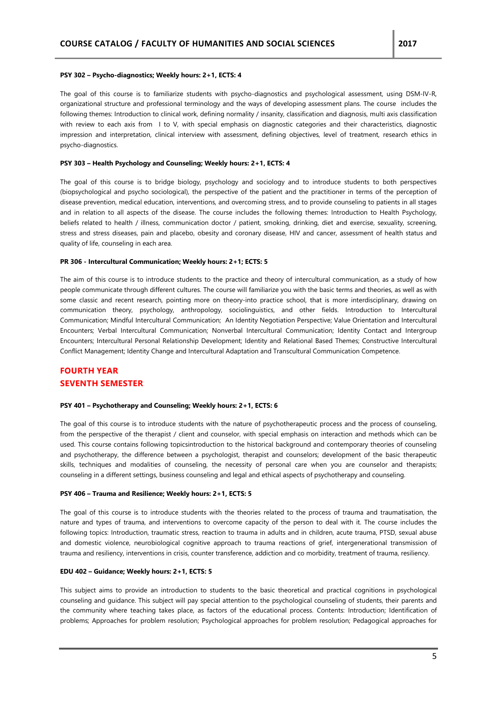#### **PSY 302 – Psycho-diagnostics; Weekly hours: 2+1, ECTS: 4**

The goal of this course is to familiarize students with psycho-diagnostics and psychological assessment, using DSM-IV-R, organizational structure and professional terminology and the ways of developing assessment plans. The course includes the following themes: Introduction to clinical work, defining normality / insanity, classification and diagnosis, multi axis classification with review to each axis from I to V, with special emphasis on diagnostic categories and their characteristics, diagnostic impression and interpretation, clinical interview with assessment, defining objectives, level of treatment, research ethics in psycho-diagnostics.

#### **PSY 303 – Health Psychology and Counseling; Weekly hours: 2+1, ECTS: 4**

The goal of this course is to bridge biology, psychology and sociology and to introduce students to both perspectives (biopsychological and psycho sociological), the perspective of the patient and the practitioner in terms of the perception of disease prevention, medical education, interventions, and overcoming stress, and to provide counseling to patients in all stages and in relation to all aspects of the disease. The course includes the following themes: Introduction to Health Psychology, beliefs related to health / illness, communication doctor / patient, smoking, drinking, diet and exercise, sexuality, screening, stress and stress diseases, pain and placebo, obesity and coronary disease, HIV and cancer, assessment of health status and quality of life, counseling in each area.

#### **PR 306 - Intercultural Communication; Weekly hours: 2+1; ECTS: 5**

The aim of this course is to introduce students to the practice and theory of intercultural communication, as a study of how people communicate through different cultures. The course will familiarize you with the basic terms and theories, as well as with some classic and recent research, pointing more on theory-into practice school, that is more interdisciplinary, drawing on communication theory, psychology, anthropology, sociolinguistics, and other fields. Introduction to Intercultural Communication; Mindful Intercultural Communication; An Identity Negotiation Perspective; Value Orientation and Intercultural Encounters; Verbal Intercultural Communication; Nonverbal Intercultural Communication; Identity Contact and Intergroup Encounters; Intercultural Personal Relationship Development; Identity and Relational Based Themes; Constructive Intercultural Conflict Management; Identity Change and Intercultural Adaptation and Transcultural Communication Competence.

# **FOURTH YEAR SEVENTH SEMESTER**

## **PSY 401 – Psychotherapy and Counseling; Weekly hours: 2+1, ECTS: 6**

The goal of this course is to introduce students with the nature of psychotherapeutic process and the process of counseling, from the perspective of the therapist / client and counselor, with special emphasis on interaction and methods which can be used. This course contains following topicsintroduction to the historical background and contemporary theories of counseling and psychotherapy, the difference between a psychologist, therapist and counselors; development of the basic therapeutic skills, techniques and modalities of counseling, the necessity of personal care when you are counselor and therapists; counseling in a different settings, business counseling and legal and ethical aspects of psychotherapy and counseling.

#### **PSY 406 – Trauma and Resilience; Weekly hours: 2+1, ECTS: 5**

The goal of this course is to introduce students with the theories related to the process of trauma and traumatisation, the nature and types of trauma, and interventions to overcome capacity of the person to deal with it. The course includes the following topics: Introduction, traumatic stress, reaction to trauma in adults and in children, acute trauma, PTSD, sexual abuse and domestic violence, neurobiological cognitive approach to trauma reactions of grief, intergenerational transmission of trauma and resiliency, interventions in crisis, counter transference, addiction and co morbidity, treatment of trauma, resiliency.

## **EDU 402 – Guidance; Weekly hours: 2+1, ECTS: 5**

This subject aims to provide an introduction to students to the basic theoretical and practical cognitions in psychological counseling and guidance. This subject will pay special attention to the psychological counseling of students, their parents and the community where teaching takes place, as factors of the educational process. Contents: Introduction; Identification of problems; Approaches for problem resolution; Psychological approaches for problem resolution; Pedagogical approaches for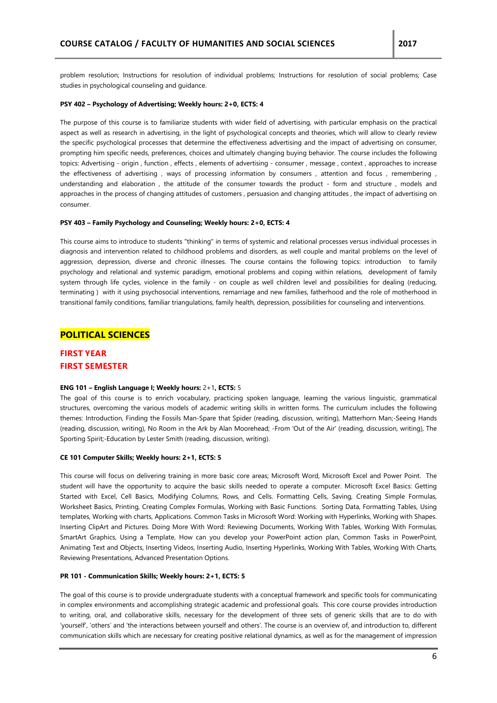problem resolution; Instructions for resolution of individual problems; Instructions for resolution of social problems; Case studies in psychological counseling and guidance.

## **PSY 402 – Psychology of Advertising; Weekly hours: 2+0, ECTS: 4**

The purpose of this course is to familiarize students with wider field of advertising, with particular emphasis on the practical aspect as well as research in advertising, in the light of psychological concepts and theories, which will allow to clearly review the specific psychological processes that determine the effectiveness advertising and the impact of advertising on consumer, prompting him specific needs, preferences, choices and ultimately changing buying behavior. The course includes the following topics: Advertising - origin , function , effects , elements of advertising - consumer , message , context , approaches to increase the effectiveness of advertising , ways of processing information by consumers , attention and focus , remembering , understanding and elaboration , the attitude of the consumer towards the product - form and structure , models and approaches in the process of changing attitudes of customers , persuasion and changing attitudes , the impact of advertising on consumer.

#### **PSY 403 – Family Psychology and Counseling; Weekly hours: 2+0, ECTS: 4**

This course aims to introduce to students "thinking" in terms of systemic and relational processes versus individual processes in diagnosis and intervention related to childhood problems and disorders, as well couple and marital problems on the level of aggression, depression, diverse and chronic illnesses. The course contains the following topics: introduction to family psychology and relational and systemic paradigm, emotional problems and coping within relations, development of family system through life cycles, violence in the family - on couple as well children level and possibilities for dealing (reducing, terminating ) with it using psychosocial interventions, remarriage and new families, fatherhood and the role of motherhood in transitional family conditions, familiar triangulations, family health, depression, possibilities for counseling and interventions.

## **POLITICAL SCIENCES**

## **FIRST YEAR FIRST SEMESTER**

## **ENG 101 – English Language I; Weekly hours:** 2+1**, ECTS:** 5

The goal of this course is to enrich vocabulary, practicing spoken language, learning the various linguistic, grammatical structures, overcoming the various models of academic writing skills in written forms. The curriculum includes the following themes: Introduction, Finding the Fossils Man-Spare that Spider (reading, discussion, writing), Matterhorn Man;-Seeing Hands (reading, discussion, writing), No Room in the Ark by Alan Moorehead; -From 'Out of the Air' (reading, discussion, writing), The Sporting Spirit;-Education by Lester Smith (reading, discussion, writing).

## **CE 101 Computer Skills; Weekly hours: 2+1, ECTS: 5**

This course will focus on delivering training in more basic core areas; Microsoft Word, Microsoft Excel and Power Point. The student will have the opportunity to acquire the basic skills needed to operate a computer. Microsoft Excel Basics: Getting Started with Excel, Cell Basics, Modifying Columns, Rows, and Cells. Formatting Cells, Saving, Creating Simple Formulas, Worksheet Basics, Printing, Creating Complex Formulas, Working with Basic Functions. Sorting Data, Formatting Tables, Using templates, Working with charts, Applications. Common Tasks in Microsoft Word: Working with Hyperlinks, Working with Shapes. Inserting ClipArt and Pictures. Doing More With Word: Reviewing Documents, Working With Tables, Working With Formulas, SmartArt Graphics, Using a Template, How can you develop your PowerPoint action plan, Common Tasks in PowerPoint, Animating Text and Objects, Inserting Videos, Inserting Audio, Inserting Hyperlinks, Working With Tables, Working With Charts, Reviewing Presentations, Advanced Presentation Options.

#### **PR 101 - Communication Skills; Weekly hours: 2+1, ECTS: 5**

The goal of this course is to provide undergraduate students with a conceptual framework and specific tools for communicating in complex environments and accomplishing strategic academic and professional goals. This core course provides introduction to writing, oral, and collaborative skills, necessary for the development of three sets of generic skills that are to do with 'yourself', 'others' and 'the interactions between yourself and others'. The course is an overview of, and introduction to, different communication skills which are necessary for creating positive relational dynamics, as well as for the management of impression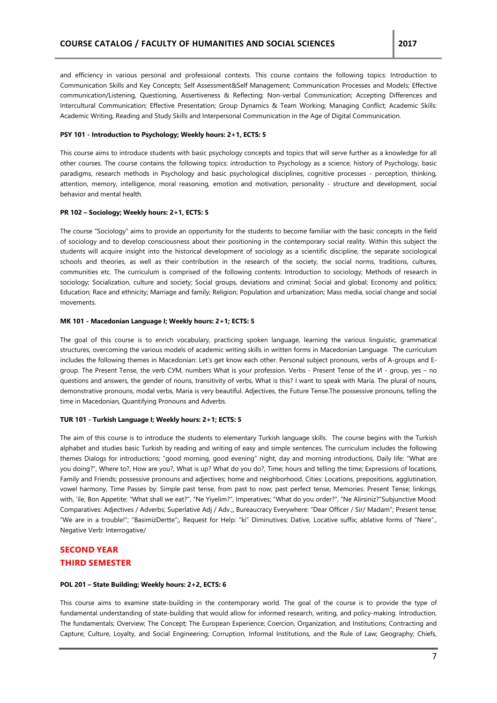and efficiency in various personal and professional contexts. This course contains the following topics: Introduction to Communication Skills and Key Concepts; Self Assessment&Self Management; Communication Processes and Models; Effective communication/Listening, Questioning, Assertiveness & Reflecting; Non-verbal Communication; Accepting Differences and Intercultural Communication; Effective Presentation; Group Dynamics & Team Working; Managing Conflict; Academic Skills: Academic Writing, Reading and Study Skills and Interpersonal Communication in the Age of Digital Communication.

#### **PSY 101 - Introduction to Psychology; Weekly hours: 2+1, ECTS: 5**

This course aims to introduce students with basic psychology concepts and topics that will serve further as a knowledge for all other courses. The course contains the following topics: introduction to Psychology as a science, history of Psychology, basic paradigms, research methods in Psychology and basic psychological disciplines, cognitive processes - perception, thinking, attention, memory, intelligence, moral reasoning, emotion and motivation, personality - structure and development, social behavior and mental health.

#### **PR 102 – Sociology; Weekly hours: 2+1, ECTS: 5**

The course "Sociology" aims to provide an opportunity for the students to become familiar with the basic concepts in the field of sociology and to develop consciousness about their positioning in the contemporary social reality. Within this subject the students will acquire insight into the historical development of sociology as a scientific discipline, the separate sociological schools and theories, as well as their contribution in the research of the society, the social norms, traditions, cultures, communities etc. The curriculum is comprised of the following contents: Introduction to sociology; Methods of research in sociology; Socialization, culture and society; Social groups, deviations and criminal; Social and global; Economy and politics; Education; Race and ethnicity; Marriage and family; Religion; Population and urbanization; Mass media, social change and social movements.

## **MK 101 - Macedonian Language I; Weekly hours: 2+1; ECTS: 5**

The goal of this course is to enrich vocabulary, practicing spoken language, learning the various linguistic, grammatical structures, overcoming the various models of academic writing skills in written forms in Macedonian Language. The curriculum includes the following themes in Macedonian: Let's get know each other. Personal subject pronouns, verbs of A-groups and Egroup. The Present Tense, the verb СУМ, numbers What is your profession. Verbs - Present Tense of the И - group, yes – no questions and answers, the gender of nouns, transitivity of verbs, What is this? I want to speak with Maria. The plural of nouns, demonstrative pronouns, modal verbs, Maria is very beautiful. Adjectives, the Future Tense.The possessive pronouns, telling the time in Macedonian, Quantifying Pronouns and Adverbs.

## **TUR 101 - Turkish Language I; Weekly hours: 2+1; ECTS: 5**

The aim of this course is to introduce the students to elementary Turkish language skills. The course begins with the Turkish alphabet and studies basic Turkish by reading and writing of easy and simple sentences. The curriculum includes the following themes Dialogs for introductions; "good morning, good evening" night, day and morning introductions, Daily life: "What are you doing?", Where to?, How are you?, What is up? What do you do?, Time; hours and telling the time; Expressions of locations, Family and Friends; possessive pronouns and adjectives; home and neighborhood, Cities: Locations, prepositions, agglutination, vowel harmony, Time Passes by: Simple past tense, from past to now; past perfect tense, Memories: Present Tense; linkings, with, 'ile, Bon Appetite: "What shall we eat?", "Ne Yiyelim?", Imperatives; "What do you order?", "Ne Alirsiniz?"Subjunctive Mood: Comparatives: Adjectives / Adverbs; Superlative Adj / Adv.;, Bureaucracy Everywhere: "Dear Officer / Sir/ Madam"; Present tense; "We are in a trouble!"; "BasimizDertte";, Request for Help: "ki" Diminutives; Dative, Locative suffix; ablative forms of "Nere"., Negative Verb: Interrogative/

## **SECOND YEAR THIRD SEMESTER**

#### **POL 201 – State Building; Weekly hours: 2+2, ECTS: 6**

This course aims to examine state-building in the contemporary world. The goal of the course is to provide the type of fundamental understanding of state-building that would allow for informed research, writing, and policy-making. Introduction, The fundamentals; Overview; The Concept; The European Experience; Coercion, Organization, and Institutions; Contracting and Capture; Culture, Loyalty, and Social Engineering; Corruption, Informal Institutions, and the Rule of Law; Geography; Chiefs,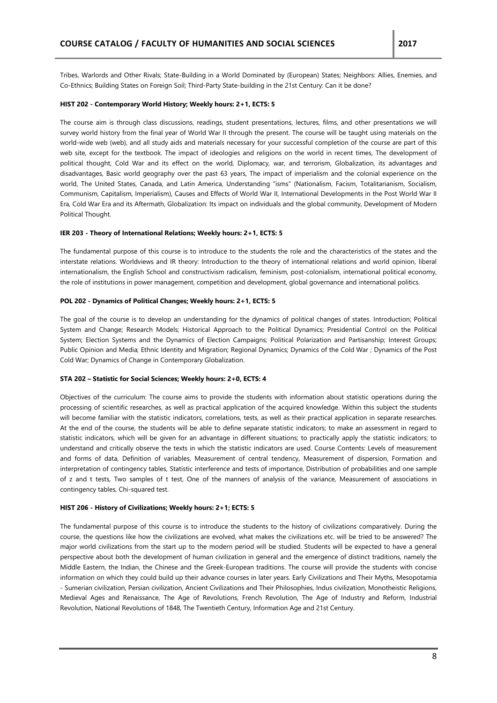Tribes, Warlords and Other Rivals; State-Building in a World Dominated by (European) States; Neighbors: Allies, Enemies, and Co-Ethnics; Building States on Foreign Soil; Third-Party State-building in the 21st Century: Can it be done?

## **HIST 202 - Contemporary World History; Weekly hours: 2+1, ECTS: 5**

The course aim is through class discussions, readings, student presentations, lectures, films, and other presentations we will survey world history from the final year of World War II through the present. The course will be taught using materials on the world-wide web (web), and all study aids and materials necessary for your successful completion of the course are part of this web site, except for the textbook. The impact of ideologies and religions on the world in recent times, The development of political thought, Cold War and its effect on the world, Diplomacy, war, and terrorism, Globalization, its advantages and disadvantages, Basic world geography over the past 63 years, The impact of imperialism and the colonial experience on the world, The United States, Canada, and Latin America, Understanding "isms" (Nationalism, Facism, Totalitarianism, Socialism, Communism, Capitalism, Imperialism), Causes and Effects of World War II, International Developments in the Post World War II Era, Cold War Era and its Aftermath, Globalization: Its impact on individuals and the global community, Development of Modern Political Thought.

#### **IER 203 - Theory of International Relations; Weekly hours: 2+1, ECTS: 5**

The fundamental purpose of this course is to introduce to the students the role and the characteristics of the states and the interstate relations. Worldviews and IR theory: Introduction to the theory of international relations and world opinion, liberal internationalism, the English School and constructivism radicalism, feminism, post-colonialism, international political economy, the role of institutions in power management, competition and development, global governance and international politics.

## **POL 202 - Dynamics of Political Changes; Weekly hours: 2+1, ECTS: 5**

The goal of the course is to develop an understanding for the dynamics of political changes of states. Introduction; Political System and Change; Research Models; Historical Approach to the Political Dynamics; Presidential Control on the Political System; Election Systems and the Dynamics of Election Campaigns; Political Polarization and Partisanship; Interest Groups; Public Opinion and Media; Ethnic Identity and Migration; Regional Dynamics; Dynamics of the Cold War ; Dynamics of the Post Cold War; Dynamics of Change in Contemporary Globalization.

## **STA 202 – Statistic for Social Sciences; Weekly hours: 2+0, ECTS: 4**

Objectives of the curriculum: The course aims to provide the students with information about statistic operations during the processing of scientific researches, as well as practical application of the acquired knowledge. Within this subject the students will become familiar with the statistic indicators, correlations, tests, as well as their practical application in separate researches. At the end of the course, the students will be able to define separate statistic indicators; to make an assessment in regard to statistic indicators, which will be given for an advantage in different situations; to practically apply the statistic indicators; to understand and critically observe the texts in which the statistic indicators are used. Course Contents: Levels of measurement and forms of data, Definition of variables, Measurement of central tendency, Measurement of dispersion, Formation and interpretation of contingency tables, Statistic interference and tests of importance, Distribution of probabilities and one sample of z and t tests, Two samples of t test, One of the manners of analysis of the variance, Measurement of associations in contingency tables, Chi-squared test.

#### **HIST 206 - History of Civilizations; Weekly hours: 2+1; ECTS: 5**

The fundamental purpose of this course is to introduce the students to the history of civilizations comparatively. During the course, the questions like how the civilizations are evolved, what makes the civilizations etc. will be tried to be answered? The major world civilizations from the start up to the modern period will be studied. Students will be expected to have a general perspective about both the development of human civilization in general and the emergence of distinct traditions, namely the Middle Eastern, the Indian, the Chinese and the Greek-European traditions. The course will provide the students with concise information on which they could build up their advance courses in later years. Early Civilizations and Their Myths, Mesopotamia - Sumerian civilization, Persian civilization, Ancient Civilizations and Their Philosophies, Indus civilization, Monotheistic Religions, Medieval Ages and Renaissance, The Age of Revolutions, French Revolution, The Age of Industry and Reform, Industrial Revolution, National Revolutions of 1848, The Twentieth Century, Information Age and 21st Century.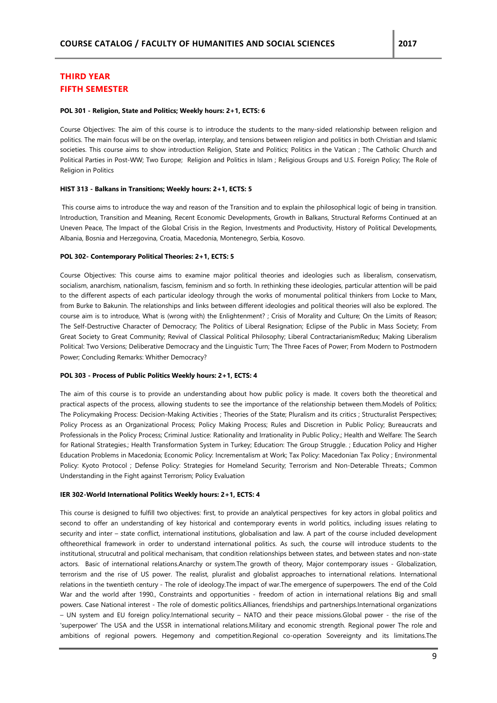# **THIRD YEAR FIFTH SEMESTER**

#### **POL 301 - Religion, State and Politics; Weekly hours: 2+1, ECTS: 6**

Course Objectives: The aim of this course is to introduce the students to the many-sided relationship between religion and politics. The main focus will be on the overlap, interplay, and tensions between religion and politics in both Christian and Islamic societies. This course aims to show introduction Religion, State and Politics; Politics in the Vatican ; The Catholic Church and Political Parties in Post-WW; Two Europe; Religion and Politics in Islam ; Religious Groups and U.S. Foreign Policy; The Role of Religion in Politics

#### **HIST 313 - Balkans in Transitions; Weekly hours: 2+1, ECTS: 5**

This course aims to introduce the way and reason of the Transition and to explain the philosophical logic of being in transition. Introduction, Transition and Meaning, Recent Economic Developments, Growth in Balkans, Structural Reforms Continued at an Uneven Peace, The Impact of the Global Crisis in the Region, Investments and Productivity, History of Political Developments, Albania, Bosnia and Herzegovina, Croatia, Macedonia, Montenegro, Serbia, Kosovo.

#### **POL 302- Contemporary Political Theories: 2+1, ECTS: 5**

Course Objectives: This course aims to examine major political theories and ideologies such as liberalism, conservatism, socialism, anarchism, nationalism, fascism, feminism and so forth. In rethinking these ideologies, particular attention will be paid to the different aspects of each particular ideology through the works of monumental political thinkers from Locke to Marx, from Burke to Bakunin. The relationships and links between different ideologies and political theories will also be explored. The course aim is to introduce, What is (wrong with) the Enlightenment? ; Crisis of Morality and Culture; On the Limits of Reason; The Self-Destructive Character of Democracy; The Politics of Liberal Resignation; Eclipse of the Public in Mass Society; From Great Society to Great Community; Revival of Classical Political Philosophy; Liberal ContractarianismRedux; Making Liberalism Political: Two Versions; Deliberative Democracy and the Linguistic Turn; The Three Faces of Power; From Modern to Postmodern Power; Concluding Remarks: Whither Democracy?

#### **POL 303 - Process of Public Politics Weekly hours: 2+1, ECTS: 4**

The aim of this course is to provide an understanding about how public policy is made. It covers both the theoretical and practical aspects of the process, allowing students to see the importance of the relationship between them.Models of Politics; The Policymaking Process: Decision-Making Activities ; Theories of the State; Pluralism and its critics ; Structuralist Perspectives; Policy Process as an Organizational Process; Policy Making Process; Rules and Discretion in Public Policy; Bureaucrats and Professionals in the Policy Process; Criminal Justice: Rationality and Irrationality in Public Policy.; Health and Welfare: The Search for Rational Strategies.; Health Transformation System in Turkey; Education: The Group Struggle. ; Education Policy and Higher Education Problems in Macedonia; Economic Policy: Incrementalism at Work; Tax Policy: Macedonian Tax Policy ; Environmental Policy: Kyoto Protocol ; Defense Policy: Strategies for Homeland Security; Terrorism and Non-Deterable Threats.; Common Understanding in the Fight against Terrorism; Policy Evaluation

#### **IER 302-World International Politics Weekly hours: 2+1, ECTS: 4**

This course is designed to fulfill two objectives: first, to provide an analytical perspectives for key actors in global politics and second to offer an understanding of key historical and contemporary events in world politics, including issues relating to security and inter – state conflict, international institutions, globalisation and law. A part of the course included development oftheorethical framework in order to understand international politics. As such, the course will introduce students to the institutional, strucutral and political mechanisam, that condition relationships between states, and between states and non-state actors. Basic of international relations.Anarchy or system.The growth of theory, Major contemporary issues - Globalization, terrorism and the rise of US power. The realist, pluralist and globalist approaches to international relations. International relations in the twentieth century - The role of ideology.The impact of war.The emergence of superpowers. The end of the Cold War and the world after 1990., Constraints and opportunities - freedom of action in international relations Big and small powers. Case National interest - The role of domestic politics.Alliances, friendships and partnerships.International organizations – UN system and EU foreign policy.International security – NATO and their peace missions.Global power - the rise of the 'superpower' The USA and the USSR in international relations.Military and economic strength. Regional power The role and ambitions of regional powers. Hegemony and competition.Regional co-operation Sovereignty and its limitations.The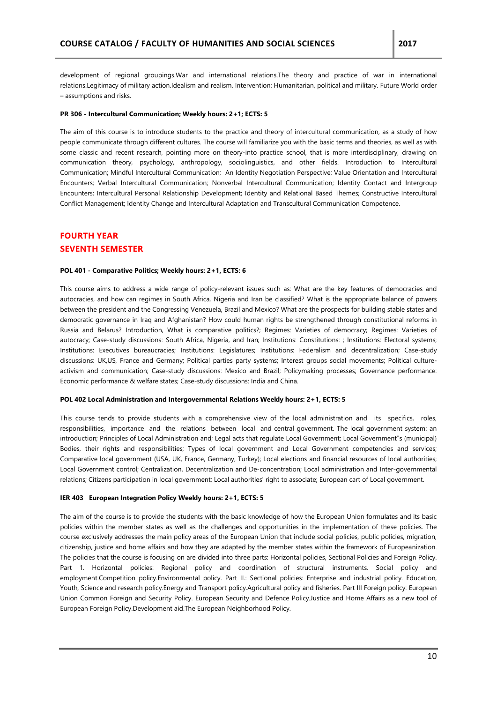development of regional groupings.War and international relations.The theory and practice of war in international relations.Legitimacy of military action.Idealism and realism. Intervention: Humanitarian, political and military. Future World order – assumptions and risks.

#### **PR 306 - Intercultural Communication; Weekly hours: 2+1; ECTS: 5**

The aim of this course is to introduce students to the practice and theory of intercultural communication, as a study of how people communicate through different cultures. The course will familiarize you with the basic terms and theories, as well as with some classic and recent research, pointing more on theory-into practice school, that is more interdisciplinary, drawing on communication theory, psychology, anthropology, sociolinguistics, and other fields. Introduction to Intercultural Communication; Mindful Intercultural Communication; An Identity Negotiation Perspective; Value Orientation and Intercultural Encounters; Verbal Intercultural Communication; Nonverbal Intercultural Communication; Identity Contact and Intergroup Encounters; Intercultural Personal Relationship Development; Identity and Relational Based Themes; Constructive Intercultural Conflict Management; Identity Change and Intercultural Adaptation and Transcultural Communication Competence.

# **FOURTH YEAR SEVENTH SEMESTER**

#### **POL 401 - Comparative Politics; Weekly hours: 2+1, ECTS: 6**

This course aims to address a wide range of policy-relevant issues such as: What are the key features of democracies and autocracies, and how can regimes in South Africa, Nigeria and Iran be classified? What is the appropriate balance of powers between the president and the Congressing Venezuela, Brazil and Mexico? What are the prospects for building stable states and democratic governance in Iraq and Afghanistan? How could human rights be strengthened through constitutional reforms in Russia and Belarus? Introduction, What is comparative politics?; Regimes: Varieties of democracy; Regimes: Varieties of autocracy; Case-study discussions: South Africa, Nigeria, and Iran; Institutions: Constitutions: ; Institutions: Electoral systems; Institutions: Executives bureaucracies; Institutions: Legislatures; Institutions: Federalism and decentralization; Case-study discussions: UK,US, France and Germany; Political parties party systems; Interest groups social movements; Political cultureactivism and communication; Case-study discussions: Mexico and Brazil; Policymaking processes; Governance performance: Economic performance & welfare states; Case-study discussions: India and China.

#### **POL 402 Local Administration and Intergovernmental Relations Weekly hours: 2+1, ECTS: 5**

This course tends to provide students with a comprehensive view of the local administration and its specifics, roles, responsibilities, importance and the relations between local and central government. The local government system: an introduction; Principles of Local Administration and; Legal acts that regulate Local Government; Local Government"s (municipal) Bodies, their rights and responsibilities; Types of local government and Local Government competencies and services; Comparative local government (USA, UK, France, Germany, Turkey); Local elections and financial resources of local authorities; Local Government control; Centralization, Decentralization and De-concentration; Local administration and Inter-governmental relations; Citizens participation in local government; Local authorities' right to associate; European cart of Local government.

## **IER 403 European Integration Policy Weekly hours: 2+1, ECTS: 5**

The aim of the course is to provide the students with the basic knowledge of how the European Union formulates and its basic policies within the member states as well as the challenges and opportunities in the implementation of these policies. The course exclusively addresses the main policy areas of the European Union that include social policies, public policies, migration, citizenship, justice and home affairs and how they are adapted by the member states within the framework of Europeanization. The policies that the course is focusing on are divided into three parts: Horizontal policies, Sectional Policies and Foreign Policy. Part 1. Horizontal policies: Regional policy and coordination of structural instruments. Social policy and employment.Competition policy.Environmental policy. Part II.: Sectional policies: Enterprise and industrial policy. Education, Youth, Science and research policy.Energy and Transport policy.Agricultural policy and fisheries. Part III Foreign policy: European Union Common Foreign and Security Policy. European Security and Defence Policy.Justice and Home Affairs as a new tool of European Foreign Policy.Development aid.The European Neighborhood Policy.